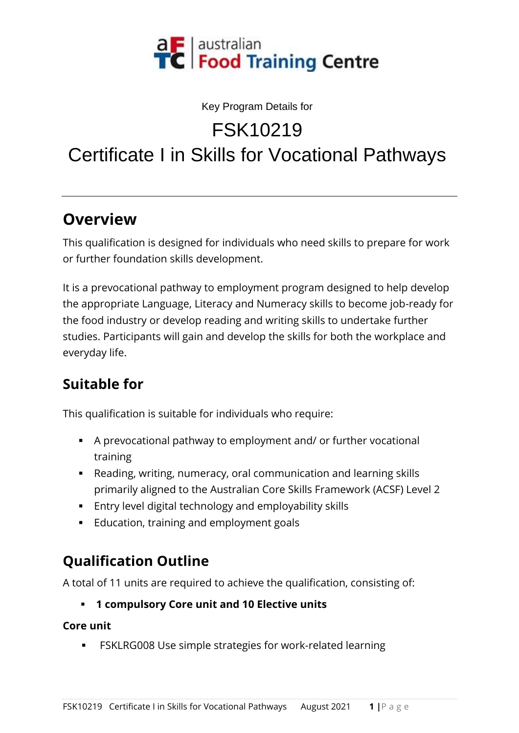

#### Key Program Details for

FSK10219

# Certificate I in Skills for Vocational Pathways

#### **Overview**

This qualification is designed for individuals who need skills to prepare for work or further foundation skills development.

It is a prevocational pathway to employment program designed to help develop the appropriate Language, Literacy and Numeracy skills to become job-ready for the food industry or develop reading and writing skills to undertake further studies. Participants will gain and develop the skills for both the workplace and everyday life.

### **Suitable for**

This qualification is suitable for individuals who require:

- A prevocational pathway to employment and/ or further vocational training
- Reading, writing, numeracy, oral communication and learning skills primarily aligned to the Australian Core Skills Framework (ACSF) Level 2
- Entry level digital technology and employability skills
- Education, training and employment goals

## **Qualification Outline**

A total of 11 units are required to achieve the qualification, consisting of:

▪ **1 compulsory Core unit and 10 Elective units**

**Core unit**

FSKLRG008 Use simple strategies for work-related learning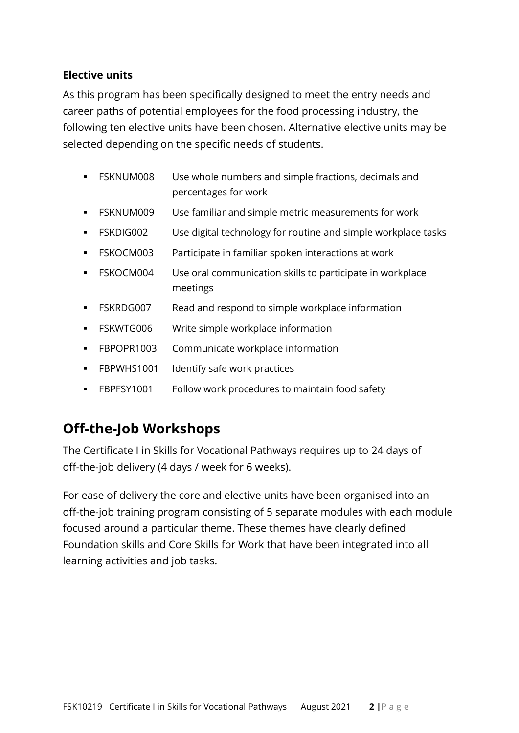#### **Elective units**

As this program has been specifically designed to meet the entry needs and career paths of potential employees for the food processing industry, the following ten elective units have been chosen. Alternative elective units may be selected depending on the specific needs of students.

- FSKNUM008 Use whole numbers and simple fractions, decimals and percentages for work
- **FSKNUM009** Use familiar and simple metric measurements for work
- FSKDIG002 Use digital technology for routine and simple workplace tasks
- FSKOCM003 Participate in familiar spoken interactions at work
- FSKOCM004 Use oral communication skills to participate in workplace meetings
- FSKRDG007 Read and respond to simple workplace information
- **•** FSKWTG006 Write simple workplace information
- FBPOPR1003 Communicate workplace information
- **•** FBPWHS1001 Identify safe work practices
- FBPFSY1001 Follow work procedures to maintain food safety

#### **Off-the-Job Workshops**

The Certificate I in Skills for Vocational Pathways requires up to 24 days of off-the-job delivery (4 days / week for 6 weeks).

For ease of delivery the core and elective units have been organised into an off-the-job training program consisting of 5 separate modules with each module focused around a particular theme. These themes have clearly defined Foundation skills and Core Skills for Work that have been integrated into all learning activities and job tasks.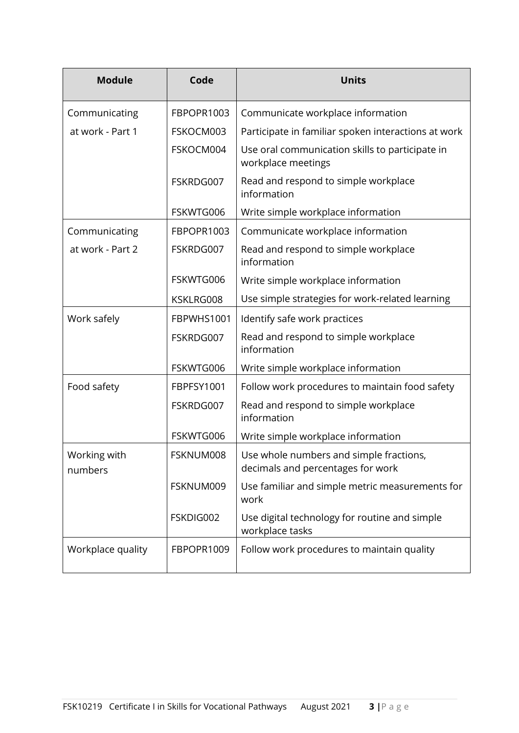| <b>Module</b>           | Code       | <b>Units</b>                                                                 |
|-------------------------|------------|------------------------------------------------------------------------------|
| Communicating           | FBPOPR1003 | Communicate workplace information                                            |
| at work - Part 1        | FSKOCM003  | Participate in familiar spoken interactions at work                          |
|                         | FSKOCM004  | Use oral communication skills to participate in<br>workplace meetings        |
|                         | FSKRDG007  | Read and respond to simple workplace<br>information                          |
|                         | FSKWTG006  | Write simple workplace information                                           |
| Communicating           | FBPOPR1003 | Communicate workplace information                                            |
| at work - Part 2        | FSKRDG007  | Read and respond to simple workplace<br>information                          |
|                         | FSKWTG006  | Write simple workplace information                                           |
|                         | KSKLRG008  | Use simple strategies for work-related learning                              |
| Work safely             | FBPWHS1001 | Identify safe work practices                                                 |
|                         | FSKRDG007  | Read and respond to simple workplace<br>information                          |
|                         | FSKWTG006  | Write simple workplace information                                           |
| Food safety             | FBPFSY1001 | Follow work procedures to maintain food safety                               |
|                         | FSKRDG007  | Read and respond to simple workplace<br>information                          |
|                         | FSKWTG006  | Write simple workplace information                                           |
| Working with<br>numbers | FSKNUM008  | Use whole numbers and simple fractions,<br>decimals and percentages for work |
|                         | FSKNUM009  | Use familiar and simple metric measurements for<br>work                      |
|                         | FSKDIG002  | Use digital technology for routine and simple<br>workplace tasks             |
| Workplace quality       | FBPOPR1009 | Follow work procedures to maintain quality                                   |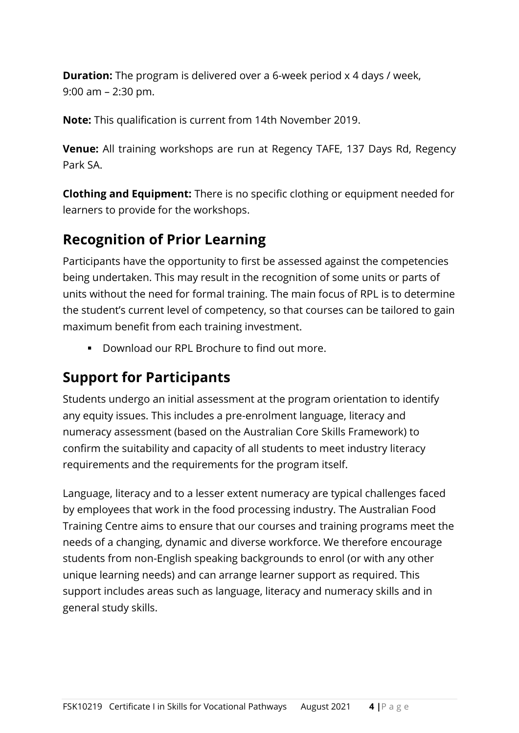**Duration:** The program is delivered over a 6-week period x 4 days / week, 9:00 am – 2:30 pm.

**Note:** This qualification is current from 14th November 2019.

**Venue:** All training workshops are run at Regency TAFE, 137 Days Rd, Regency Park SA.

**Clothing and Equipment:** There is no specific clothing or equipment needed for learners to provide for the workshops.

### **Recognition of Prior Learning**

Participants have the opportunity to first be assessed against the competencies being undertaken. This may result in the recognition of some units or parts of units without the need for formal training. The main focus of RPL is to determine the student's current level of competency, so that courses can be tailored to gain maximum benefit from each training investment.

▪ Download our RPL Brochure to find out more.

#### **Support for Participants**

Students undergo an initial assessment at the program orientation to identify any equity issues. This includes a pre-enrolment language, literacy and numeracy assessment (based on the Australian Core Skills Framework) to confirm the suitability and capacity of all students to meet industry literacy requirements and the requirements for the program itself.

Language, literacy and to a lesser extent numeracy are typical challenges faced by employees that work in the food processing industry. The Australian Food Training Centre aims to ensure that our courses and training programs meet the needs of a changing, dynamic and diverse workforce. We therefore encourage students from non-English speaking backgrounds to enrol (or with any other unique learning needs) and can arrange learner support as required. This support includes areas such as language, literacy and numeracy skills and in general study skills.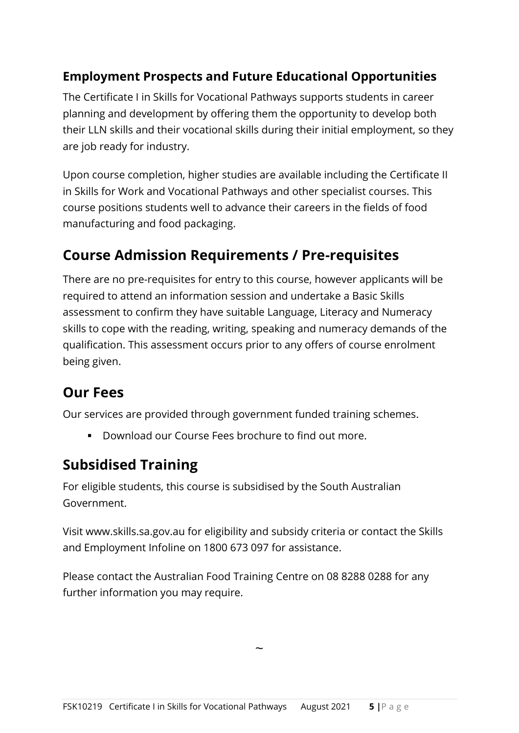#### **Employment Prospects and Future Educational Opportunities**

The Certificate I in Skills for Vocational Pathways supports students in career planning and development by offering them the opportunity to develop both their LLN skills and their vocational skills during their initial employment, so they are job ready for industry.

Upon course completion, higher studies are available including the Certificate II in Skills for Work and Vocational Pathways and other specialist courses. This course positions students well to advance their careers in the fields of food manufacturing and food packaging.

#### **Course Admission Requirements / Pre-requisites**

There are no pre-requisites for entry to this course, however applicants will be required to attend an information session and undertake a Basic Skills assessment to confirm they have suitable Language, Literacy and Numeracy skills to cope with the reading, writing, speaking and numeracy demands of the qualification. This assessment occurs prior to any offers of course enrolment being given.

#### **Our Fees**

Our services are provided through government funded training schemes.

▪ Download our Course Fees brochure to find out more.

### **Subsidised Training**

For eligible students, this course is subsidised by the South Australian Government.

Visit www.skills.sa.gov.au for eligibility and subsidy criteria or contact the Skills and Employment Infoline on 1800 673 097 for assistance.

Please contact the Australian Food Training Centre on 08 8288 0288 for any further information you may require.

 $\ddot{\phantom{0}}$